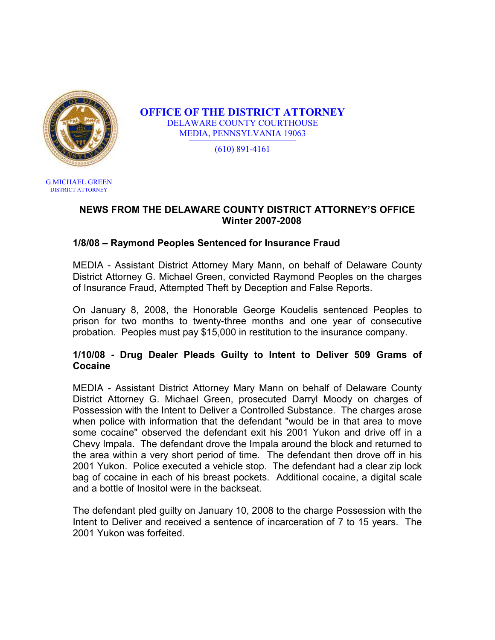

OFFICE OF THE DISTRICT ATTORNEY DELAWARE COUNTY COURTHOUSE MEDIA, PENNSYLVANIA 19063 ————————————

(610) 891-4161

G.MICHAEL GREEN DISTRICT ATTORNEY

#### NEWS FROM THE DELAWARE COUNTY DISTRICT ATTORNEY'S OFFICE Winter 2007-2008

## 1/8/08 – Raymond Peoples Sentenced for Insurance Fraud

MEDIA - Assistant District Attorney Mary Mann, on behalf of Delaware County District Attorney G. Michael Green, convicted Raymond Peoples on the charges of Insurance Fraud, Attempted Theft by Deception and False Reports.

On January 8, 2008, the Honorable George Koudelis sentenced Peoples to prison for two months to twenty-three months and one year of consecutive probation. Peoples must pay \$15,000 in restitution to the insurance company.

#### 1/10/08 - Drug Dealer Pleads Guilty to Intent to Deliver 509 Grams of Cocaine

MEDIA - Assistant District Attorney Mary Mann on behalf of Delaware County District Attorney G. Michael Green, prosecuted Darryl Moody on charges of Possession with the Intent to Deliver a Controlled Substance. The charges arose when police with information that the defendant "would be in that area to move some cocaine" observed the defendant exit his 2001 Yukon and drive off in a Chevy Impala. The defendant drove the Impala around the block and returned to the area within a very short period of time. The defendant then drove off in his 2001 Yukon. Police executed a vehicle stop. The defendant had a clear zip lock bag of cocaine in each of his breast pockets. Additional cocaine, a digital scale and a bottle of Inositol were in the backseat.

The defendant pled guilty on January 10, 2008 to the charge Possession with the Intent to Deliver and received a sentence of incarceration of 7 to 15 years. The 2001 Yukon was forfeited.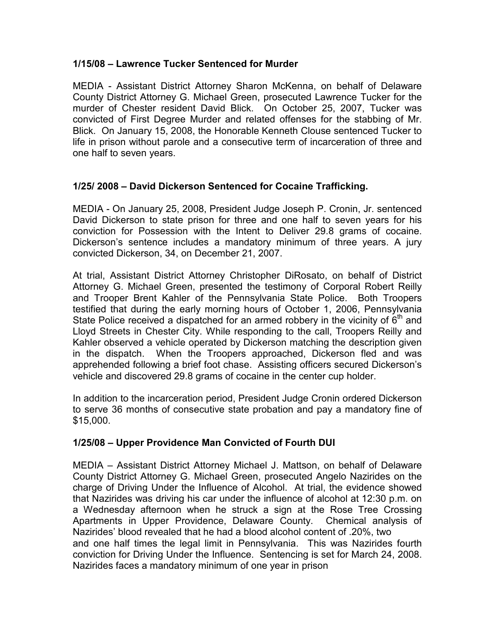#### 1/15/08 – Lawrence Tucker Sentenced for Murder

MEDIA - Assistant District Attorney Sharon McKenna, on behalf of Delaware County District Attorney G. Michael Green, prosecuted Lawrence Tucker for the murder of Chester resident David Blick. On October 25, 2007, Tucker was convicted of First Degree Murder and related offenses for the stabbing of Mr. Blick. On January 15, 2008, the Honorable Kenneth Clouse sentenced Tucker to life in prison without parole and a consecutive term of incarceration of three and one half to seven years.

### 1/25/ 2008 – David Dickerson Sentenced for Cocaine Trafficking.

MEDIA - On January 25, 2008, President Judge Joseph P. Cronin, Jr. sentenced David Dickerson to state prison for three and one half to seven years for his conviction for Possession with the Intent to Deliver 29.8 grams of cocaine. Dickerson's sentence includes a mandatory minimum of three years. A jury convicted Dickerson, 34, on December 21, 2007.

At trial, Assistant District Attorney Christopher DiRosato, on behalf of District Attorney G. Michael Green, presented the testimony of Corporal Robert Reilly and Trooper Brent Kahler of the Pennsylvania State Police. Both Troopers testified that during the early morning hours of October 1, 2006, Pennsylvania State Police received a dispatched for an armed robbery in the vicinity of  $6<sup>th</sup>$  and Lloyd Streets in Chester City. While responding to the call, Troopers Reilly and Kahler observed a vehicle operated by Dickerson matching the description given in the dispatch. When the Troopers approached, Dickerson fled and was apprehended following a brief foot chase. Assisting officers secured Dickerson's vehicle and discovered 29.8 grams of cocaine in the center cup holder.

In addition to the incarceration period, President Judge Cronin ordered Dickerson to serve 36 months of consecutive state probation and pay a mandatory fine of \$15,000.

## 1/25/08 – Upper Providence Man Convicted of Fourth DUI

MEDIA – Assistant District Attorney Michael J. Mattson, on behalf of Delaware County District Attorney G. Michael Green, prosecuted Angelo Nazirides on the charge of Driving Under the Influence of Alcohol. At trial, the evidence showed that Nazirides was driving his car under the influence of alcohol at 12:30 p.m. on a Wednesday afternoon when he struck a sign at the Rose Tree Crossing Apartments in Upper Providence, Delaware County. Chemical analysis of Nazirides' blood revealed that he had a blood alcohol content of .20%, two and one half times the legal limit in Pennsylvania. This was Nazirides fourth conviction for Driving Under the Influence. Sentencing is set for March 24, 2008. Nazirides faces a mandatory minimum of one year in prison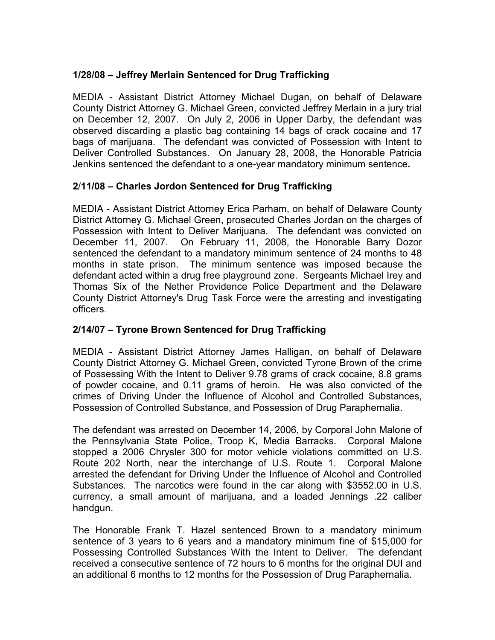## 1/28/08 – Jeffrey Merlain Sentenced for Drug Trafficking

MEDIA - Assistant District Attorney Michael Dugan, on behalf of Delaware County District Attorney G. Michael Green, convicted Jeffrey Merlain in a jury trial on December 12, 2007. On July 2, 2006 in Upper Darby, the defendant was observed discarding a plastic bag containing 14 bags of crack cocaine and 17 bags of marijuana. The defendant was convicted of Possession with Intent to Deliver Controlled Substances. On January 28, 2008, the Honorable Patricia Jenkins sentenced the defendant to a one-year mandatory minimum sentence.

# 2/11/08 – Charles Jordon Sentenced for Drug Trafficking

MEDIA - Assistant District Attorney Erica Parham, on behalf of Delaware County District Attorney G. Michael Green, prosecuted Charles Jordan on the charges of Possession with Intent to Deliver Marijuana. The defendant was convicted on December 11, 2007. On February 11, 2008, the Honorable Barry Dozor sentenced the defendant to a mandatory minimum sentence of 24 months to 48 months in state prison. The minimum sentence was imposed because the defendant acted within a drug free playground zone. Sergeants Michael Irey and Thomas Six of the Nether Providence Police Department and the Delaware County District Attorney's Drug Task Force were the arresting and investigating officers.

## 2/14/07 – Tyrone Brown Sentenced for Drug Trafficking

MEDIA - Assistant District Attorney James Halligan, on behalf of Delaware County District Attorney G. Michael Green, convicted Tyrone Brown of the crime of Possessing With the Intent to Deliver 9.78 grams of crack cocaine, 8.8 grams of powder cocaine, and 0.11 grams of heroin. He was also convicted of the crimes of Driving Under the Influence of Alcohol and Controlled Substances, Possession of Controlled Substance, and Possession of Drug Paraphernalia.

The defendant was arrested on December 14, 2006, by Corporal John Malone of the Pennsylvania State Police, Troop K, Media Barracks. Corporal Malone stopped a 2006 Chrysler 300 for motor vehicle violations committed on U.S. Route 202 North, near the interchange of U.S. Route 1. Corporal Malone arrested the defendant for Driving Under the Influence of Alcohol and Controlled Substances. The narcotics were found in the car along with \$3552.00 in U.S. currency, a small amount of marijuana, and a loaded Jennings .22 caliber handgun.

The Honorable Frank T. Hazel sentenced Brown to a mandatory minimum sentence of 3 years to 6 years and a mandatory minimum fine of \$15,000 for Possessing Controlled Substances With the Intent to Deliver. The defendant received a consecutive sentence of 72 hours to 6 months for the original DUI and an additional 6 months to 12 months for the Possession of Drug Paraphernalia.